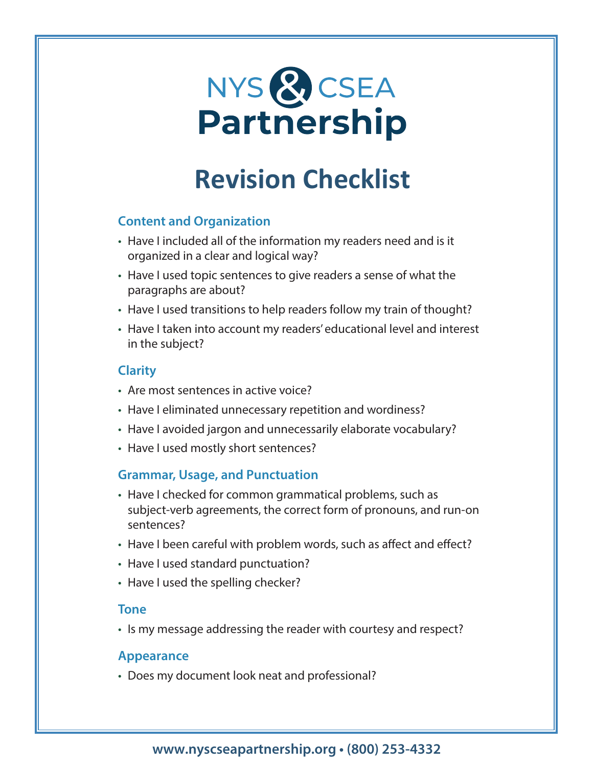# NYS & CSEA **Partnership**

## **Revision Checklist**

### **Content and Organization**

- Have I included all of the information my readers need and is it organized in a clear and logical way?
- Have I used topic sentences to give readers a sense of what the paragraphs are about?
- Have I used transitions to help readers follow my train of thought?
- Have I taken into account my readers' educational level and interest in the subject?

#### **Clarity**

- Are most sentences in active voice?
- Have I eliminated unnecessary repetition and wordiness?
- Have I avoided jargon and unnecessarily elaborate vocabulary?
- Have I used mostly short sentences?

#### **Grammar, Usage, and Punctuation**

- Have I checked for common grammatical problems, such as subject-verb agreements, the correct form of pronouns, and run-on sentences?
- Have I been careful with problem words, such as affect and effect?
- Have I used standard punctuation?
- Have I used the spelling checker?

#### **Tone**

• Is my message addressing the reader with courtesy and respect?

#### **Appearance**

• Does my document look neat and professional?